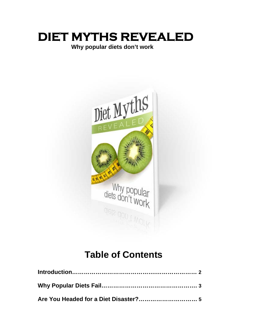# **DIET MYTHS REVEALED**

# **Why popular diets don't work**



# **Table of Contents**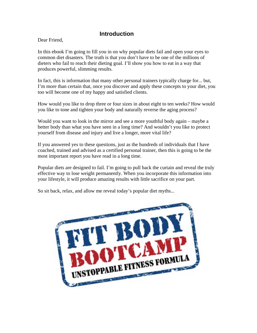## **Introduction**

Dear Friend,

In this ebook I'm going to fill you in on why popular diets fail and open your eyes to common diet disasters. The truth is that you don't have to be one of the millions of dieters who fail to reach their dieting goal. I'll show you how to eat in a way that produces powerful, slimming results.

In fact, this is information that many other personal trainers typically charge for... but, I'm more than certain that, once you discover and apply these concepts to your diet, you too will become one of my happy and satisfied clients.

How would you like to drop three or four sizes in about eight to ten weeks? How would you like to tone and tighten your body and naturally reverse the aging process?

Would you want to look in the mirror and see a more youthful body again – maybe a better body than what you have seen in a long time? And wouldn't you like to protect yourself from disease and injury and live a longer, more vital life?

If you answered yes to these questions, just as the hundreds of individuals that I have coached, trained and advised as a certified personal trainer, then this is going to be the most important report you have read in a long time.

Popular diets are designed to fail. I'm going to pull back the curtain and reveal the truly effective way to lose weight permanently. When you incorporate this information into your lifestyle, it will produce amazing results with little sacrifice on your part.

So sit back, relax, and allow me reveal today's popular diet myths...

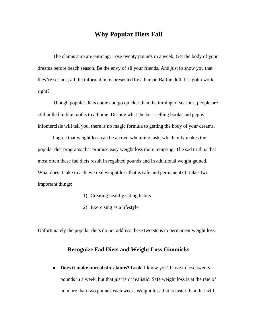### **Why Popular Diets Fail**

 The claims sure are enticing. Lose twenty pounds in a week. Get the body of your dreams before beach season. Be the envy of all your friends. And just to show you that they're serious; all the information is presented by a human Barbie doll. It's gotta work, right?

 Though popular diets come and go quicker than the turning of seasons, people are still pulled in like moths to a flame. Despite what the best-selling books and peppy infomercials will tell you, there is no magic formula to getting the body of your dreams.

 I agree that weight loss can be an overwhelming task, which only makes the popular diet programs that promise easy weight loss more tempting. The sad truth is that most often these fad diets result in regained pounds and in additional weight gained. What does it take to achieve real weight loss that is safe and permanent? It takes two important things:

- 1) Creating healthy eating habits
- 2) Exercising as a lifestyle

Unfortunately the popular diets do not address these two steps to permanent weight loss.

#### **Recognize Fad Diets and Weight Loss Gimmicks**

• Does it make unrealistic claims? Look, I know you'd love to lose twenty pounds in a week, but that just isn't realistic. Safe weight loss is at the rate of no more than two pounds each week. Weight loss that is faster than that will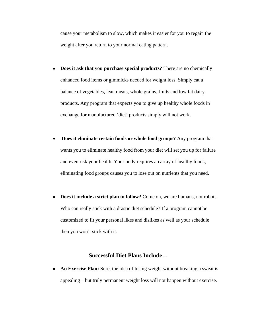cause your metabolism to slow, which makes it easier for you to regain the weight after you return to your normal eating pattern.

- **Does it ask that you purchase special products?** There are no chemically enhanced food items or gimmicks needed for weight loss. Simply eat a balance of vegetables, lean meats, whole grains, fruits and low fat dairy products. Any program that expects you to give up healthy whole foods in exchange for manufactured 'diet' products simply will not work.
- **Does it eliminate certain foods or whole food groups?** Any program that wants you to eliminate healthy food from your diet will set you up for failure and even risk your health. Your body requires an array of healthy foods; eliminating food groups causes you to lose out on nutrients that you need.
- **Does it include a strict plan to follow?** Come on, we are humans, not robots. Who can really stick with a drastic diet schedule? If a program cannot be customized to fit your personal likes and dislikes as well as your schedule then you won't stick with it.

#### **Successful Diet Plans Include…**

• An Exercise Plan: Sure, the idea of losing weight without breaking a sweat is appealing—but truly permanent weight loss will not happen without exercise.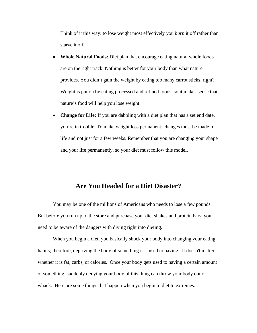Think of it this way: to lose weight most effectively you *burn* it off rather than starve it off.

- **Whole Natural Foods:** Diet plan that encourage eating natural whole foods are on the right track. Nothing is better for your body than what nature provides. You didn't gain the weight by eating too many carrot sticks, right? Weight is put on by eating processed and refined foods, so it makes sense that nature's food will help you lose weight.
- **Change for Life:** If you are dabbling with a diet plan that has a set end date, you're in trouble. To make weight loss permanent, changes must be made for life and not just for a few weeks. Remember that you are changing your shape and your life permanently, so your diet must follow this model.

#### **Are You Headed for a Diet Disaster?**

 You may be one of the millions of Americans who needs to lose a few pounds. But before you run up to the store and purchase your diet shakes and protein bars, you need to be aware of the dangers with diving right into dieting.

 When you begin a diet, you basically shock your body into changing your eating habits; therefore, depriving the body of something it is used to having. It doesn't matter whether it is fat, carbs, or calories. Once your body gets used to having a certain amount of something, suddenly denying your body of this thing can throw your body out of whack. Here are some things that happen when you begin to diet to extremes.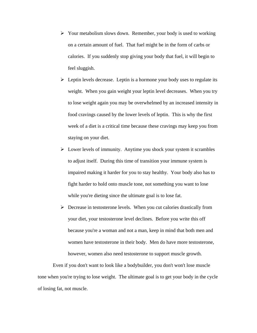- $\triangleright$  Your metabolism slows down. Remember, your body is used to working on a certain amount of fuel. That fuel might be in the form of carbs or calories. If you suddenly stop giving your body that fuel, it will begin to feel sluggish.
- $\triangleright$  Leptin levels decrease. Leptin is a hormone your body uses to regulate its weight. When you gain weight your leptin level decreases. When you try to lose weight again you may be overwhelmed by an increased intensity in food cravings caused by the lower levels of leptin. This is why the first week of a diet is a critical time because these cravings may keep you from staying on your diet.
- $\triangleright$  Lower levels of immunity. Anytime you shock your system it scrambles to adjust itself. During this time of transition your immune system is impaired making it harder for you to stay healthy. Your body also has to fight harder to hold onto muscle tone, not something you want to lose while you're dieting since the ultimate goal is to lose fat.
- $\triangleright$  Decrease in testosterone levels. When you cut calories drastically from your diet, your testosterone level declines. Before you write this off because you're a woman and not a man, keep in mind that both men and women have testosterone in their body. Men do have more testosterone, however, women also need testosterone to support muscle growth.

 Even if you don't want to look like a bodybuilder, you don't won't lose muscle tone when you're trying to lose weight. The ultimate goal is to get your body in the cycle of losing fat, not muscle.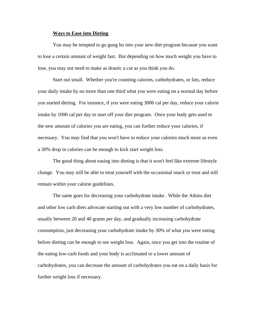#### **Ways to Ease into Dieting**

 You may be tempted to go gung ho into your new diet program because you want to lose a certain amount of weight fast. But depending on how much weight you have to lose, you may not need to make as drastic a cut as you think you do.

 Start out small. Whether you're counting calories, carbohydrates, or fats, reduce your daily intake by no more than one third what you were eating on a normal day before you started dieting. For instance, if you were eating 3000 cal per day, reduce your calorie intake by 1000 cal per day to start off your diet program. Once your body gets used to the new amount of calories you are eating, you can further reduce your calories, if necessary. You may find that you won't have to reduce your calories much more as even a 30% drop in calories can be enough to kick start weight loss.

 The good thing about easing into dieting is that it won't feel like extreme lifestyle change. You may still be able to treat yourself with the occasional snack or treat and still remain within your calorie guidelines.

 The same goes for decreasing your carbohydrate intake. While the Atkins diet and other low carb diets advocate starting out with a very low number of carbohydrates, usually between 20 and 40 grams per day, and gradually increasing carbohydrate consumption, just decreasing your carbohydrate intake by 30% of what you were eating before dieting can be enough to see weight loss. Again, once you get into the routine of the eating low-carb foods and your body is acclimated to a lower amount of carbohydrates, you can decrease the amount of carbohydrates you eat on a daily basis for further weight loss if necessary.